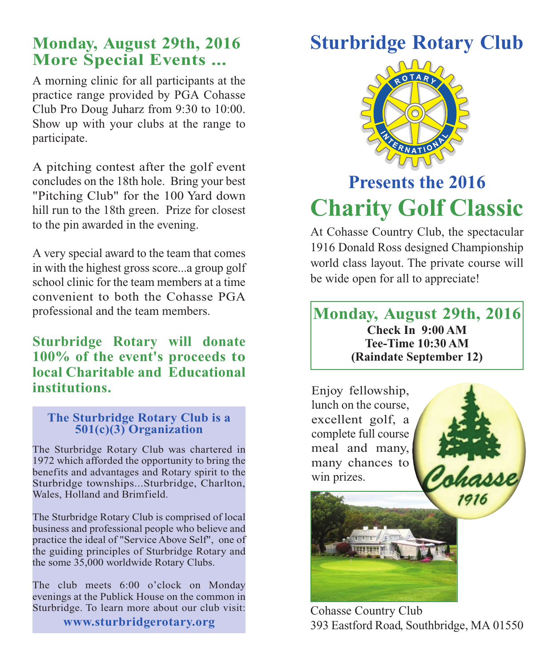## **Monday, August 29th, 2016 More Special Events ...**

A morning clinic for all participants at the practice range provided by PGA Cohasse Club Pro Doug Juharz from 9:30 to 10:00. Show up with your clubs at the range to participate.

A pitching contest after the golf event concludes on the 18th hole. Bring your best "Pitching Club" for the 100 Yard down hill run to the 18th green. Prize for closest to the pin awarded in the evening.

A very special award to the team that comes in with the highest gross score...a group golf school clinic for the team members at a time convenient to both the Cohasse PGA professional and the team members.

### **Sturbridge Rotary will donate 100% of the event's proceeds to local Charitable and Educational institutions.**

#### **The Sturbridge Rotary Club is a 501(c)(3) Organization**

The Sturbridge Rotary Club was chartered in 1972 which afforded the opportunity to bring the benefits and advantages and Rotary spirit to the Sturbridge townships...Sturbridge, Charlton, Wales, Holland and Brimfield.

The Sturbridge Rotary Club is comprised of local business and professional people who believe and practice the ideal of "Service Above Self", one of the guiding principles of Sturbridge Rotary and the some 35,000 worldwide Rotary Clubs.

The club meets 6:00 o'clock on Monday evenings at the Publick House on the common in Sturbridge. To learn more about our club visit:

#### **www.sturbridgerotary.org**

# **Sturbridge Rotary Club**



# **Presents the 2016 Charity Golf Classic**

At Cohasse Country Club, the spectacular 1916 Donald Ross designed Championship world class layout. The private course will be wide open for all to appreciate!

#### **Monday, August 29th, 2016 Check In 9:00 AM Tee-Time 10:30 AM (Raindate September 12)**



Cohasse Country Club 393 Eastford Road, Southbridge, MA 01550